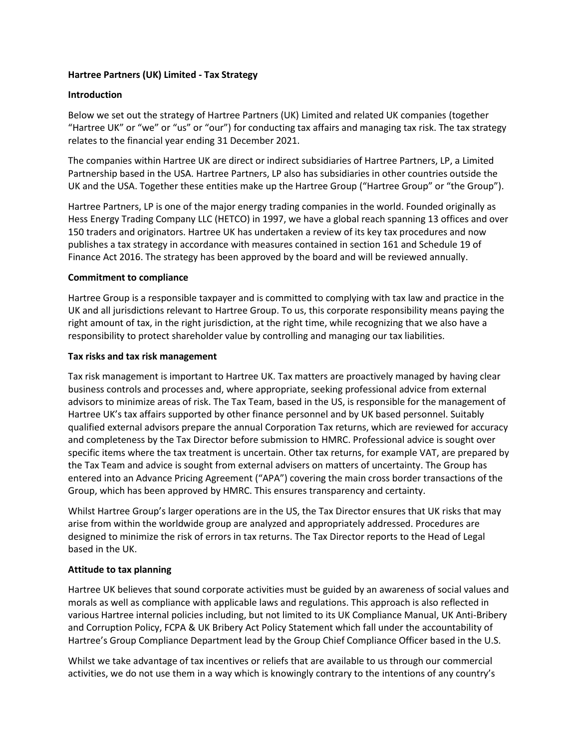### **Hartree Partners (UK) Limited - Tax Strategy**

# **Introduction**

Below we set out the strategy of Hartree Partners (UK) Limited and related UK companies (together "Hartree UK" or "we" or "us" or "our") for conducting tax affairs and managing tax risk. The tax strategy relates to the financial year ending 31 December 2021.

The companies within Hartree UK are direct or indirect subsidiaries of Hartree Partners, LP, a Limited Partnership based in the USA. Hartree Partners, LP also has subsidiaries in other countries outside the UK and the USA. Together these entities make up the Hartree Group ("Hartree Group" or "the Group").

Hartree Partners, LP is one of the major energy trading companies in the world. Founded originally as Hess Energy Trading Company LLC (HETCO) in 1997, we have a global reach spanning 13 offices and over 150 traders and originators. Hartree UK has undertaken a review of its key tax procedures and now publishes a tax strategy in accordance with measures contained in section 161 and Schedule 19 of Finance Act 2016. The strategy has been approved by the board and will be reviewed annually.

# **Commitment to compliance**

Hartree Group is a responsible taxpayer and is committed to complying with tax law and practice in the UK and all jurisdictions relevant to Hartree Group. To us, this corporate responsibility means paying the right amount of tax, in the right jurisdiction, at the right time, while recognizing that we also have a responsibility to protect shareholder value by controlling and managing our tax liabilities.

### **Tax risks and tax risk management**

Tax risk management is important to Hartree UK. Tax matters are proactively managed by having clear business controls and processes and, where appropriate, seeking professional advice from external advisors to minimize areas of risk. The Tax Team, based in the US, is responsible for the management of Hartree UK's tax affairs supported by other finance personnel and by UK based personnel. Suitably qualified external advisors prepare the annual Corporation Tax returns, which are reviewed for accuracy and completeness by the Tax Director before submission to HMRC. Professional advice is sought over specific items where the tax treatment is uncertain. Other tax returns, for example VAT, are prepared by the Tax Team and advice is sought from external advisers on matters of uncertainty. The Group has entered into an Advance Pricing Agreement ("APA") covering the main cross border transactions of the Group, which has been approved by HMRC. This ensures transparency and certainty.

Whilst Hartree Group's larger operations are in the US, the Tax Director ensures that UK risks that may arise from within the worldwide group are analyzed and appropriately addressed. Procedures are designed to minimize the risk of errors in tax returns. The Tax Director reports to the Head of Legal based in the UK.

### **Attitude to tax planning**

Hartree UK believes that sound corporate activities must be guided by an awareness of social values and morals as well as compliance with applicable laws and regulations. This approach is also reflected in various Hartree internal policies including, but not limited to its UK Compliance Manual, UK Anti-Bribery and Corruption Policy, FCPA & UK Bribery Act Policy Statement which fall under the accountability of Hartree's Group Compliance Department lead by the Group Chief Compliance Officer based in the U.S.

Whilst we take advantage of tax incentives or reliefs that are available to us through our commercial activities, we do not use them in a way which is knowingly contrary to the intentions of any country's